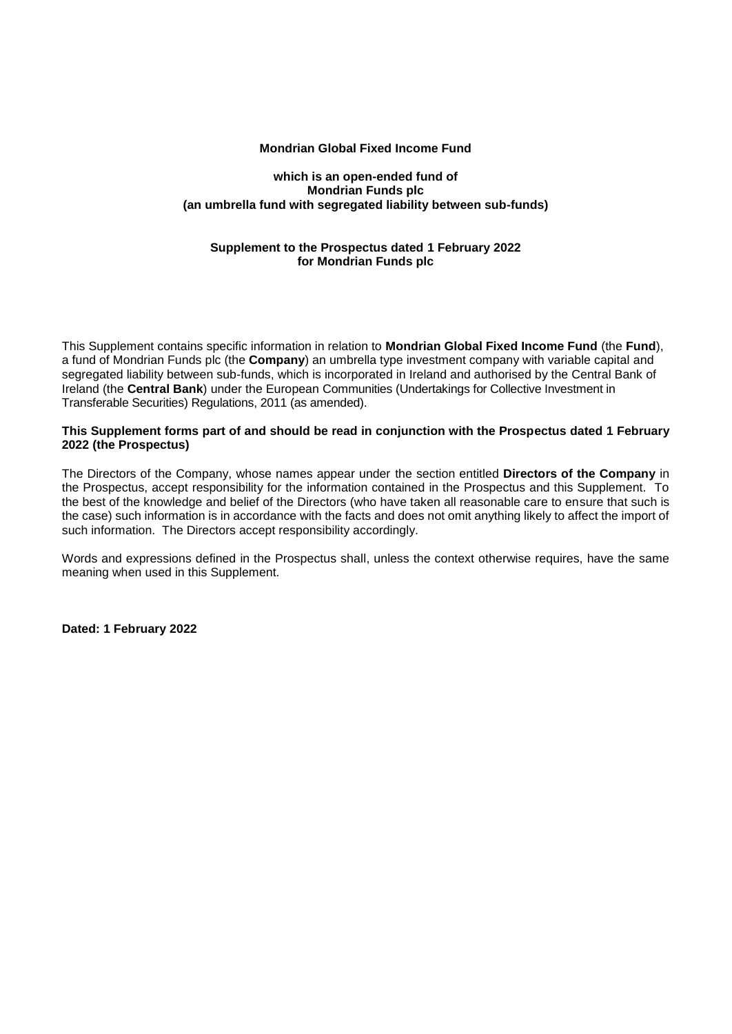### **Mondrian Global Fixed Income Fund**

#### **which is an open-ended fund of Mondrian Funds plc (an umbrella fund with segregated liability between sub-funds)**

## **Supplement to the Prospectus dated 1 February 2022 for Mondrian Funds plc**

This Supplement contains specific information in relation to **Mondrian Global Fixed Income Fund** (the **Fund**), a fund of Mondrian Funds plc (the **Company**) an umbrella type investment company with variable capital and segregated liability between sub-funds, which is incorporated in Ireland and authorised by the Central Bank of Ireland (the **Central Bank**) under the European Communities (Undertakings for Collective Investment in Transferable Securities) Regulations, 2011 (as amended).

### **This Supplement forms part of and should be read in conjunction with the Prospectus dated 1 February 2022 (the Prospectus)**

The Directors of the Company, whose names appear under the section entitled **Directors of the Company** in the Prospectus, accept responsibility for the information contained in the Prospectus and this Supplement. To the best of the knowledge and belief of the Directors (who have taken all reasonable care to ensure that such is the case) such information is in accordance with the facts and does not omit anything likely to affect the import of such information. The Directors accept responsibility accordingly.

Words and expressions defined in the Prospectus shall, unless the context otherwise requires, have the same meaning when used in this Supplement.

**Dated: 1 February 2022**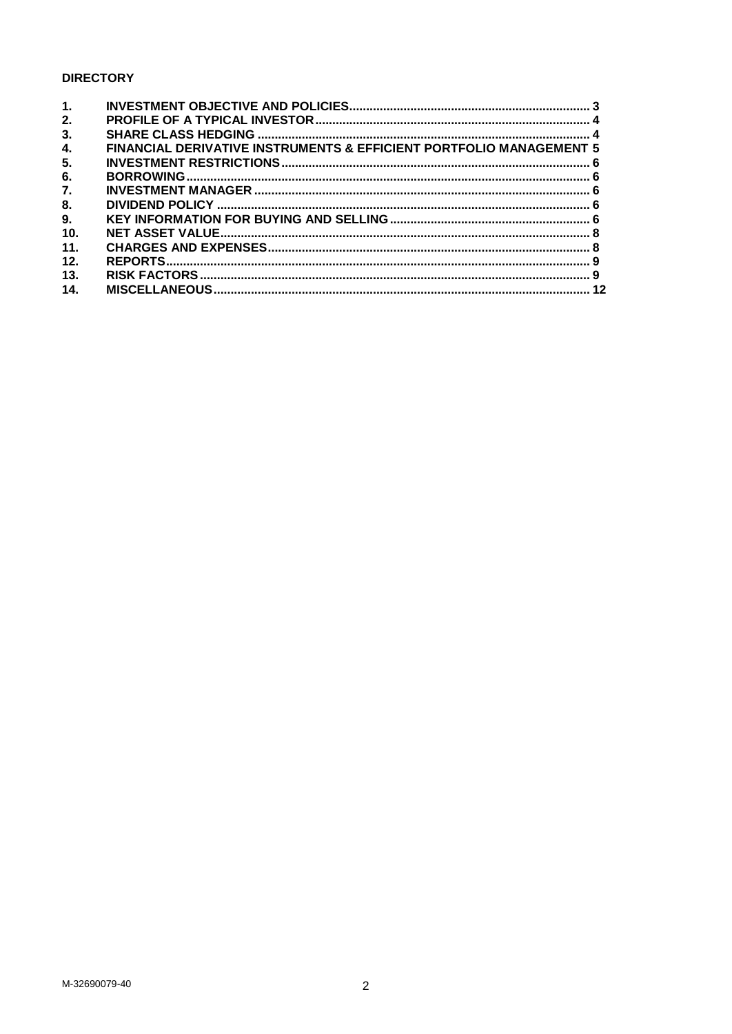# **DIRECTORY**

| $\mathbf{1}$ . |                                                                                |  |
|----------------|--------------------------------------------------------------------------------|--|
| 2.             |                                                                                |  |
| 3.             |                                                                                |  |
| 4.             | <b>FINANCIAL DERIVATIVE INSTRUMENTS &amp; EFFICIENT PORTFOLIO MANAGEMENT 5</b> |  |
| 5.             |                                                                                |  |
| 6.             |                                                                                |  |
| 7.             |                                                                                |  |
| 8.             |                                                                                |  |
| 9.             |                                                                                |  |
| 10.            |                                                                                |  |
| 11.            |                                                                                |  |
| 12.            |                                                                                |  |
| 13.            |                                                                                |  |
| 14.            |                                                                                |  |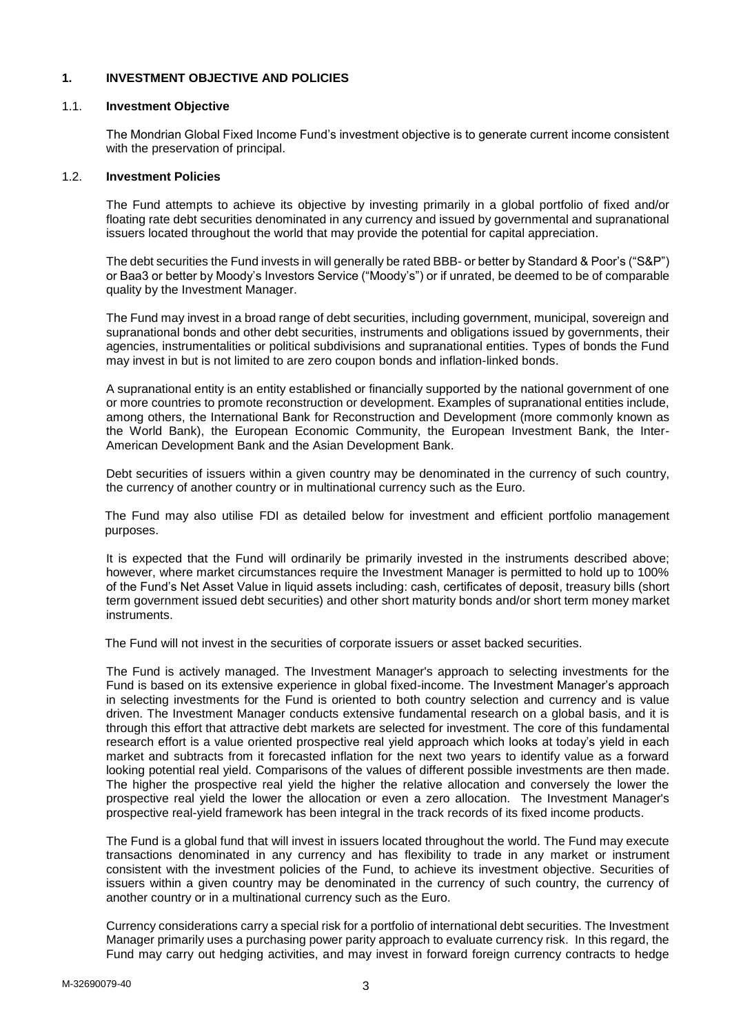## **1. INVESTMENT OBJECTIVE AND POLICIES**

#### 1.1. **Investment Objective**

The Mondrian Global Fixed Income Fund's investment objective is to generate current income consistent with the preservation of principal.

#### 1.2. **Investment Policies**

The Fund attempts to achieve its objective by investing primarily in a global portfolio of fixed and/or floating rate debt securities denominated in any currency and issued by governmental and supranational issuers located throughout the world that may provide the potential for capital appreciation.

The debt securities the Fund invests in will generally be rated BBB- or better by Standard & Poor's ("S&P") or Baa3 or better by Moody's Investors Service ("Moody's") or if unrated, be deemed to be of comparable quality by the Investment Manager.

The Fund may invest in a broad range of debt securities, including government, municipal, sovereign and supranational bonds and other debt securities, instruments and obligations issued by governments, their agencies, instrumentalities or political subdivisions and supranational entities. Types of bonds the Fund may invest in but is not limited to are zero coupon bonds and inflation-linked bonds.

A supranational entity is an entity established or financially supported by the national government of one or more countries to promote reconstruction or development. Examples of supranational entities include, among others, the International Bank for Reconstruction and Development (more commonly known as the World Bank), the European Economic Community, the European Investment Bank, the Inter-American Development Bank and the Asian Development Bank.

Debt securities of issuers within a given country may be denominated in the currency of such country, the currency of another country or in multinational currency such as the Euro.

The Fund may also utilise FDI as detailed below for investment and efficient portfolio management purposes.

It is expected that the Fund will ordinarily be primarily invested in the instruments described above; however, where market circumstances require the Investment Manager is permitted to hold up to 100% of the Fund's Net Asset Value in liquid assets including: cash, certificates of deposit, treasury bills (short term government issued debt securities) and other short maturity bonds and/or short term money market instruments.

The Fund will not invest in the securities of corporate issuers or asset backed securities.

The Fund is actively managed. The Investment Manager's approach to selecting investments for the Fund is based on its extensive experience in global fixed-income. The Investment Manager's approach in selecting investments for the Fund is oriented to both country selection and currency and is value driven. The Investment Manager conducts extensive fundamental research on a global basis, and it is through this effort that attractive debt markets are selected for investment. The core of this fundamental research effort is a value oriented prospective real yield approach which looks at today's yield in each market and subtracts from it forecasted inflation for the next two years to identify value as a forward looking potential real yield. Comparisons of the values of different possible investments are then made. The higher the prospective real yield the higher the relative allocation and conversely the lower the prospective real yield the lower the allocation or even a zero allocation. The Investment Manager's prospective real-yield framework has been integral in the track records of its fixed income products.

The Fund is a global fund that will invest in issuers located throughout the world. The Fund may execute transactions denominated in any currency and has flexibility to trade in any market or instrument consistent with the investment policies of the Fund, to achieve its investment objective. Securities of issuers within a given country may be denominated in the currency of such country, the currency of another country or in a multinational currency such as the Euro.

Currency considerations carry a special risk for a portfolio of international debt securities. The Investment Manager primarily uses a purchasing power parity approach to evaluate currency risk. In this regard, the Fund may carry out hedging activities, and may invest in forward foreign currency contracts to hedge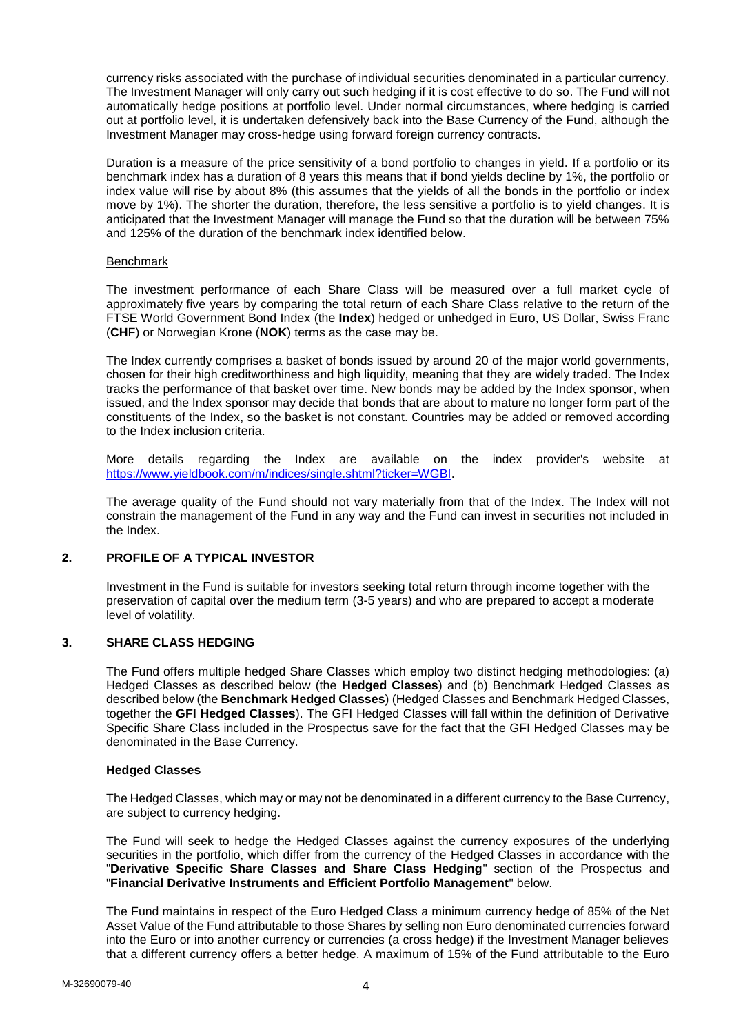currency risks associated with the purchase of individual securities denominated in a particular currency. The Investment Manager will only carry out such hedging if it is cost effective to do so. The Fund will not automatically hedge positions at portfolio level. Under normal circumstances, where hedging is carried out at portfolio level, it is undertaken defensively back into the Base Currency of the Fund, although the Investment Manager may cross-hedge using forward foreign currency contracts.

Duration is a measure of the price sensitivity of a bond portfolio to changes in yield. If a portfolio or its benchmark index has a duration of 8 years this means that if bond yields decline by 1%, the portfolio or index value will rise by about 8% (this assumes that the yields of all the bonds in the portfolio or index move by 1%). The shorter the duration, therefore, the less sensitive a portfolio is to yield changes. It is anticipated that the Investment Manager will manage the Fund so that the duration will be between 75% and 125% of the duration of the benchmark index identified below.

### Benchmark

The investment performance of each Share Class will be measured over a full market cycle of approximately five years by comparing the total return of each Share Class relative to the return of the FTSE World Government Bond Index (the **Index**) hedged or unhedged in Euro, US Dollar, Swiss Franc (**CH**F) or Norwegian Krone (**NOK**) terms as the case may be.

The Index currently comprises a basket of bonds issued by around 20 of the major world governments, chosen for their high creditworthiness and high liquidity, meaning that they are widely traded. The Index tracks the performance of that basket over time. New bonds may be added by the Index sponsor, when issued, and the Index sponsor may decide that bonds that are about to mature no longer form part of the constituents of the Index, so the basket is not constant. Countries may be added or removed according to the Index inclusion criteria.

More details regarding the Index are available on the index provider's website at [https://www.yieldbook.com/m/indices/single.shtml?ticker=WGBI.](https://www.yieldbook.com/m/indices/single.shtml?ticker=WGBI)

The average quality of the Fund should not vary materially from that of the Index. The Index will not constrain the management of the Fund in any way and the Fund can invest in securities not included in the Index.

## **2. PROFILE OF A TYPICAL INVESTOR**

Investment in the Fund is suitable for investors seeking total return through income together with the preservation of capital over the medium term (3-5 years) and who are prepared to accept a moderate level of volatility.

## **3. SHARE CLASS HEDGING**

The Fund offers multiple hedged Share Classes which employ two distinct hedging methodologies: (a) Hedged Classes as described below (the **Hedged Classes**) and (b) Benchmark Hedged Classes as described below (the **Benchmark Hedged Classes**) (Hedged Classes and Benchmark Hedged Classes, together the **GFI Hedged Classes**). The GFI Hedged Classes will fall within the definition of Derivative Specific Share Class included in the Prospectus save for the fact that the GFI Hedged Classes may be denominated in the Base Currency.

#### **Hedged Classes**

The Hedged Classes, which may or may not be denominated in a different currency to the Base Currency, are subject to currency hedging.

The Fund will seek to hedge the Hedged Classes against the currency exposures of the underlying securities in the portfolio, which differ from the currency of the Hedged Classes in accordance with the "**Derivative Specific Share Classes and Share Class Hedging**" section of the Prospectus and "**Financial Derivative Instruments and Efficient Portfolio Management**" below.

The Fund maintains in respect of the Euro Hedged Class a minimum currency hedge of 85% of the Net Asset Value of the Fund attributable to those Shares by selling non Euro denominated currencies forward into the Euro or into another currency or currencies (a cross hedge) if the Investment Manager believes that a different currency offers a better hedge. A maximum of 15% of the Fund attributable to the Euro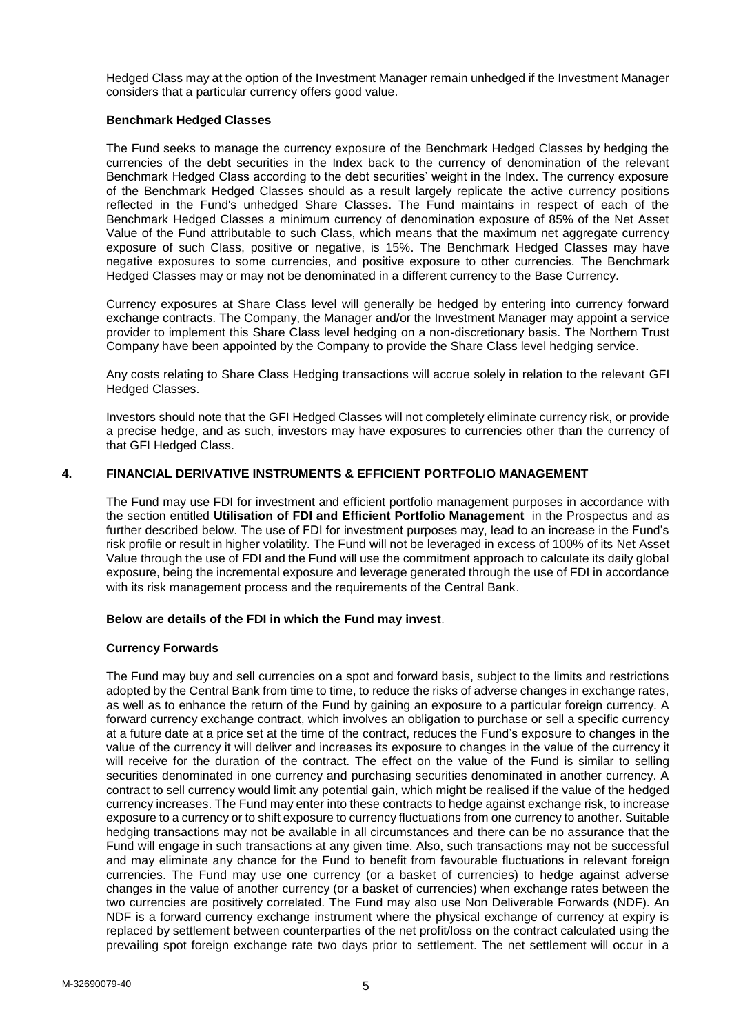Hedged Class may at the option of the Investment Manager remain unhedged if the Investment Manager considers that a particular currency offers good value.

## **Benchmark Hedged Classes**

The Fund seeks to manage the currency exposure of the Benchmark Hedged Classes by hedging the currencies of the debt securities in the Index back to the currency of denomination of the relevant Benchmark Hedged Class according to the debt securities' weight in the Index. The currency exposure of the Benchmark Hedged Classes should as a result largely replicate the active currency positions reflected in the Fund's unhedged Share Classes. The Fund maintains in respect of each of the Benchmark Hedged Classes a minimum currency of denomination exposure of 85% of the Net Asset Value of the Fund attributable to such Class, which means that the maximum net aggregate currency exposure of such Class, positive or negative, is 15%. The Benchmark Hedged Classes may have negative exposures to some currencies, and positive exposure to other currencies. The Benchmark Hedged Classes may or may not be denominated in a different currency to the Base Currency.

Currency exposures at Share Class level will generally be hedged by entering into currency forward exchange contracts. The Company, the Manager and/or the Investment Manager may appoint a service provider to implement this Share Class level hedging on a non-discretionary basis. The Northern Trust Company have been appointed by the Company to provide the Share Class level hedging service.

Any costs relating to Share Class Hedging transactions will accrue solely in relation to the relevant GFI Hedged Classes.

Investors should note that the GFI Hedged Classes will not completely eliminate currency risk, or provide a precise hedge, and as such, investors may have exposures to currencies other than the currency of that GFI Hedged Class.

## **4. FINANCIAL DERIVATIVE INSTRUMENTS & EFFICIENT PORTFOLIO MANAGEMENT**

The Fund may use FDI for investment and efficient portfolio management purposes in accordance with the section entitled **Utilisation of FDI and Efficient Portfolio Management** in the Prospectus and as further described below. The use of FDI for investment purposes may, lead to an increase in the Fund's risk profile or result in higher volatility. The Fund will not be leveraged in excess of 100% of its Net Asset Value through the use of FDI and the Fund will use the commitment approach to calculate its daily global exposure, being the incremental exposure and leverage generated through the use of FDI in accordance with its risk management process and the requirements of the Central Bank.

## **Below are details of the FDI in which the Fund may invest**.

## **Currency Forwards**

The Fund may buy and sell currencies on a spot and forward basis, subject to the limits and restrictions adopted by the Central Bank from time to time, to reduce the risks of adverse changes in exchange rates, as well as to enhance the return of the Fund by gaining an exposure to a particular foreign currency. A forward currency exchange contract, which involves an obligation to purchase or sell a specific currency at a future date at a price set at the time of the contract, reduces the Fund's exposure to changes in the value of the currency it will deliver and increases its exposure to changes in the value of the currency it will receive for the duration of the contract. The effect on the value of the Fund is similar to selling securities denominated in one currency and purchasing securities denominated in another currency. A contract to sell currency would limit any potential gain, which might be realised if the value of the hedged currency increases. The Fund may enter into these contracts to hedge against exchange risk, to increase exposure to a currency or to shift exposure to currency fluctuations from one currency to another. Suitable hedging transactions may not be available in all circumstances and there can be no assurance that the Fund will engage in such transactions at any given time. Also, such transactions may not be successful and may eliminate any chance for the Fund to benefit from favourable fluctuations in relevant foreign currencies. The Fund may use one currency (or a basket of currencies) to hedge against adverse changes in the value of another currency (or a basket of currencies) when exchange rates between the two currencies are positively correlated. The Fund may also use Non Deliverable Forwards (NDF). An NDF is a forward currency exchange instrument where the physical exchange of currency at expiry is replaced by settlement between counterparties of the net profit/loss on the contract calculated using the prevailing spot foreign exchange rate two days prior to settlement. The net settlement will occur in a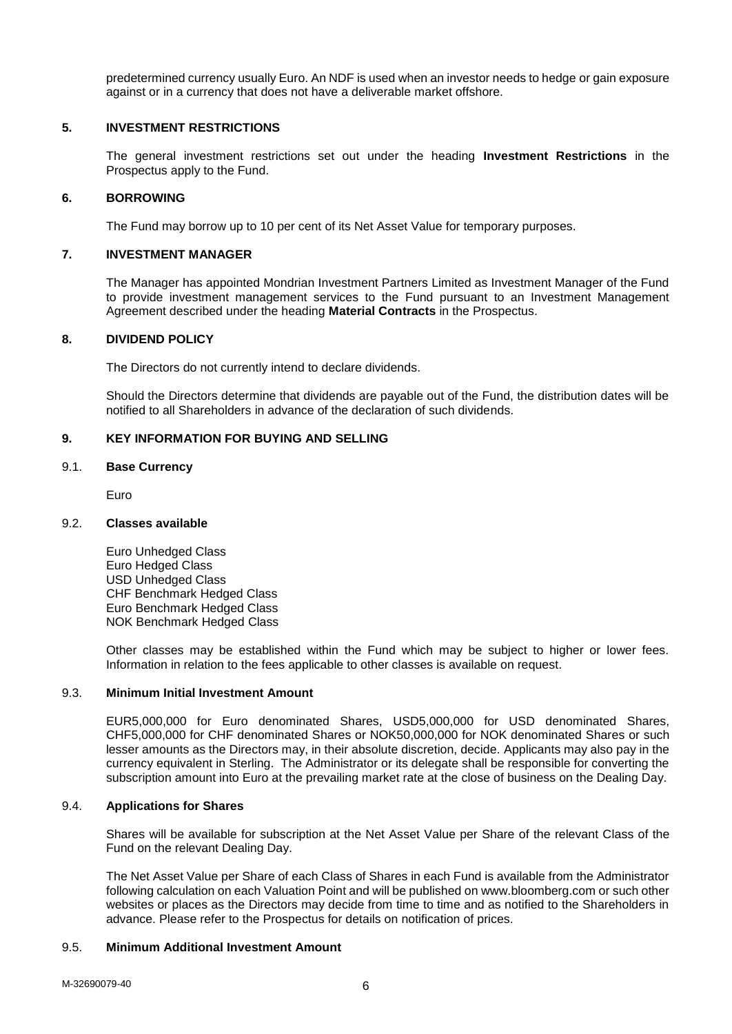predetermined currency usually Euro. An NDF is used when an investor needs to hedge or gain exposure against or in a currency that does not have a deliverable market offshore.

### **5. INVESTMENT RESTRICTIONS**

The general investment restrictions set out under the heading **Investment Restrictions** in the Prospectus apply to the Fund.

## **6. BORROWING**

The Fund may borrow up to 10 per cent of its Net Asset Value for temporary purposes.

## **7. INVESTMENT MANAGER**

The Manager has appointed Mondrian Investment Partners Limited as Investment Manager of the Fund to provide investment management services to the Fund pursuant to an Investment Management Agreement described under the heading **Material Contracts** in the Prospectus.

## **8. DIVIDEND POLICY**

The Directors do not currently intend to declare dividends.

Should the Directors determine that dividends are payable out of the Fund, the distribution dates will be notified to all Shareholders in advance of the declaration of such dividends.

## **9. KEY INFORMATION FOR BUYING AND SELLING**

#### 9.1. **Base Currency**

Euro

#### 9.2. **Classes available**

Euro Unhedged Class Euro Hedged Class USD Unhedged Class CHF Benchmark Hedged Class Euro Benchmark Hedged Class NOK Benchmark Hedged Class

Other classes may be established within the Fund which may be subject to higher or lower fees. Information in relation to the fees applicable to other classes is available on request.

#### 9.3. **Minimum Initial Investment Amount**

EUR5,000,000 for Euro denominated Shares, USD5,000,000 for USD denominated Shares, CHF5,000,000 for CHF denominated Shares or NOK50,000,000 for NOK denominated Shares or such lesser amounts as the Directors may, in their absolute discretion, decide. Applicants may also pay in the currency equivalent in Sterling. The Administrator or its delegate shall be responsible for converting the subscription amount into Euro at the prevailing market rate at the close of business on the Dealing Day.

## 9.4. **Applications for Shares**

Shares will be available for subscription at the Net Asset Value per Share of the relevant Class of the Fund on the relevant Dealing Day.

The Net Asset Value per Share of each Class of Shares in each Fund is available from the Administrator following calculation on each Valuation Point and will be published on www.bloomberg.com or such other websites or places as the Directors may decide from time to time and as notified to the Shareholders in advance. Please refer to the Prospectus for details on notification of prices.

## 9.5. **Minimum Additional Investment Amount**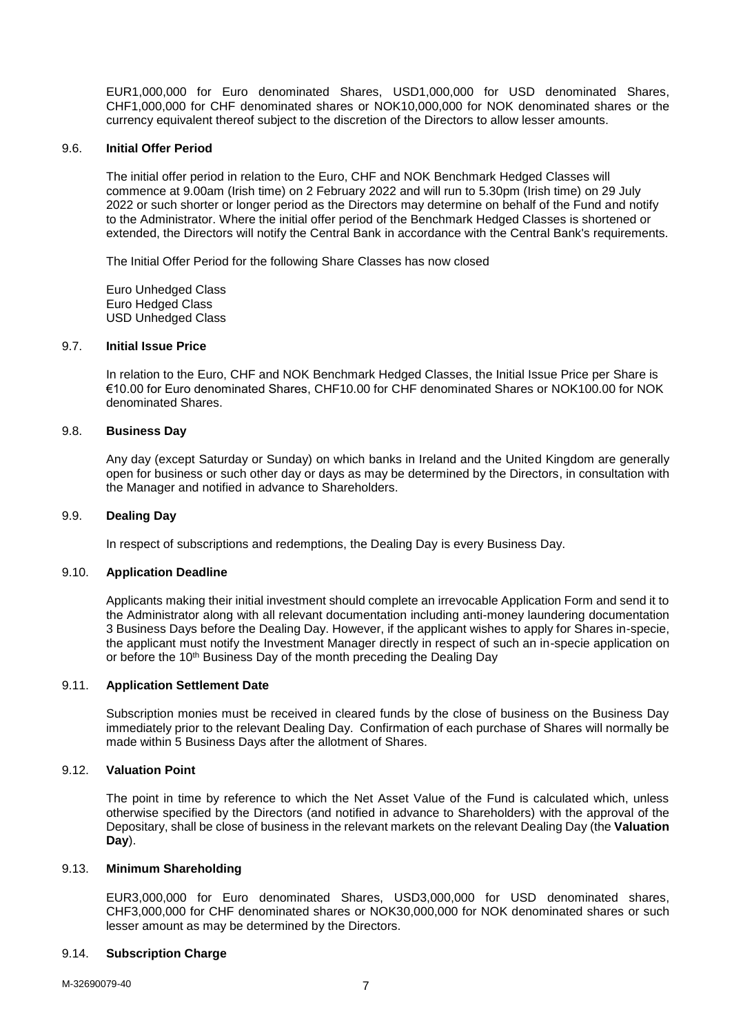EUR1,000,000 for Euro denominated Shares, USD1,000,000 for USD denominated Shares, CHF1,000,000 for CHF denominated shares or NOK10,000,000 for NOK denominated shares or the currency equivalent thereof subject to the discretion of the Directors to allow lesser amounts.

#### 9.6. **Initial Offer Period**

The initial offer period in relation to the Euro, CHF and NOK Benchmark Hedged Classes will commence at 9.00am (Irish time) on 2 February 2022 and will run to 5.30pm (Irish time) on 29 July 2022 or such shorter or longer period as the Directors may determine on behalf of the Fund and notify to the Administrator. Where the initial offer period of the Benchmark Hedged Classes is shortened or extended, the Directors will notify the Central Bank in accordance with the Central Bank's requirements.

The Initial Offer Period for the following Share Classes has now closed

Euro Unhedged Class Euro Hedged Class USD Unhedged Class

#### 9.7. **Initial Issue Price**

In relation to the Euro, CHF and NOK Benchmark Hedged Classes, the Initial Issue Price per Share is €10.00 for Euro denominated Shares, CHF10.00 for CHF denominated Shares or NOK100.00 for NOK denominated Shares.

### 9.8. **Business Day**

Any day (except Saturday or Sunday) on which banks in Ireland and the United Kingdom are generally open for business or such other day or days as may be determined by the Directors, in consultation with the Manager and notified in advance to Shareholders.

#### 9.9. **Dealing Day**

In respect of subscriptions and redemptions, the Dealing Day is every Business Day.

#### 9.10. **Application Deadline**

Applicants making their initial investment should complete an irrevocable Application Form and send it to the Administrator along with all relevant documentation including anti-money laundering documentation 3 Business Days before the Dealing Day. However, if the applicant wishes to apply for Shares in-specie, the applicant must notify the Investment Manager directly in respect of such an in-specie application on or before the 10<sup>th</sup> Business Day of the month preceding the Dealing Day

#### 9.11. **Application Settlement Date**

Subscription monies must be received in cleared funds by the close of business on the Business Day immediately prior to the relevant Dealing Day. Confirmation of each purchase of Shares will normally be made within 5 Business Days after the allotment of Shares.

#### 9.12. **Valuation Point**

The point in time by reference to which the Net Asset Value of the Fund is calculated which, unless otherwise specified by the Directors (and notified in advance to Shareholders) with the approval of the Depositary, shall be close of business in the relevant markets on the relevant Dealing Day (the **Valuation Day**).

#### 9.13. **Minimum Shareholding**

EUR3,000,000 for Euro denominated Shares, USD3,000,000 for USD denominated shares, CHF3,000,000 for CHF denominated shares or NOK30,000,000 for NOK denominated shares or such lesser amount as may be determined by the Directors.

#### 9.14. **Subscription Charge**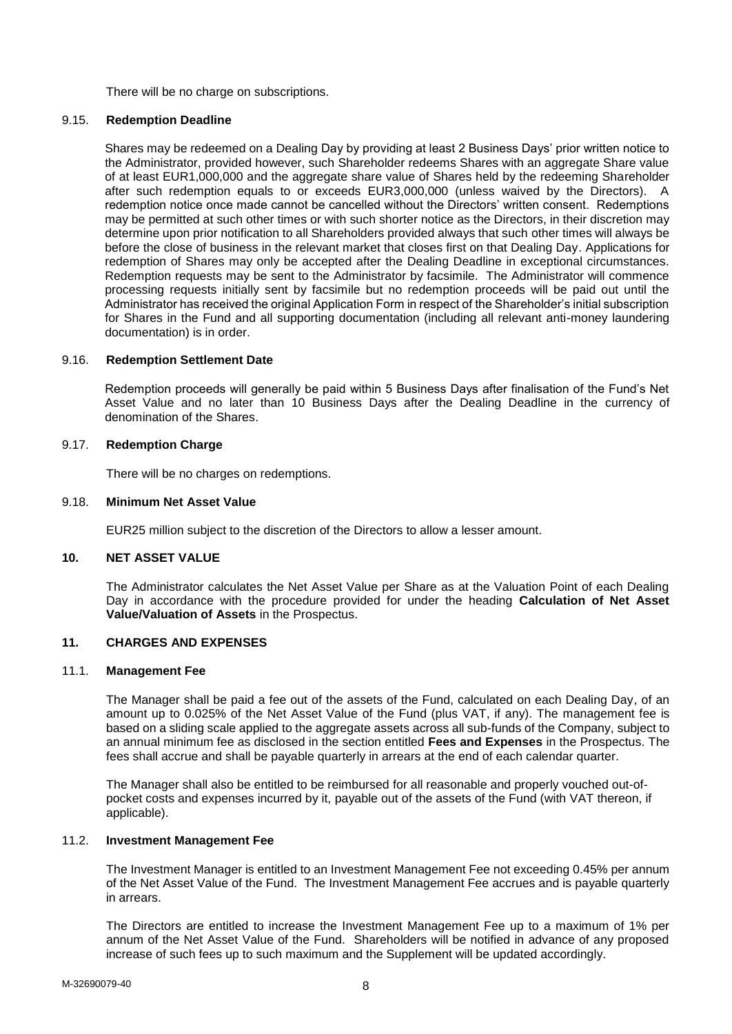There will be no charge on subscriptions.

## 9.15. **Redemption Deadline**

Shares may be redeemed on a Dealing Day by providing at least 2 Business Days' prior written notice to the Administrator, provided however, such Shareholder redeems Shares with an aggregate Share value of at least EUR1,000,000 and the aggregate share value of Shares held by the redeeming Shareholder after such redemption equals to or exceeds EUR3,000,000 (unless waived by the Directors). A redemption notice once made cannot be cancelled without the Directors' written consent. Redemptions may be permitted at such other times or with such shorter notice as the Directors, in their discretion may determine upon prior notification to all Shareholders provided always that such other times will always be before the close of business in the relevant market that closes first on that Dealing Day. Applications for redemption of Shares may only be accepted after the Dealing Deadline in exceptional circumstances. Redemption requests may be sent to the Administrator by facsimile. The Administrator will commence processing requests initially sent by facsimile but no redemption proceeds will be paid out until the Administrator has received the original Application Form in respect of the Shareholder's initial subscription for Shares in the Fund and all supporting documentation (including all relevant anti-money laundering documentation) is in order.

## 9.16. **Redemption Settlement Date**

Redemption proceeds will generally be paid within 5 Business Days after finalisation of the Fund's Net Asset Value and no later than 10 Business Days after the Dealing Deadline in the currency of denomination of the Shares.

## 9.17. **Redemption Charge**

There will be no charges on redemptions.

#### 9.18. **Minimum Net Asset Value**

EUR25 million subject to the discretion of the Directors to allow a lesser amount.

### **10. NET ASSET VALUE**

The Administrator calculates the Net Asset Value per Share as at the Valuation Point of each Dealing Day in accordance with the procedure provided for under the heading **Calculation of Net Asset Value/Valuation of Assets** in the Prospectus.

### **11. CHARGES AND EXPENSES**

#### 11.1. **Management Fee**

The Manager shall be paid a fee out of the assets of the Fund, calculated on each Dealing Day, of an amount up to 0.025% of the Net Asset Value of the Fund (plus VAT, if any). The management fee is based on a sliding scale applied to the aggregate assets across all sub-funds of the Company, subject to an annual minimum fee as disclosed in the section entitled **Fees and Expenses** in the Prospectus. The fees shall accrue and shall be payable quarterly in arrears at the end of each calendar quarter.

The Manager shall also be entitled to be reimbursed for all reasonable and properly vouched out-ofpocket costs and expenses incurred by it, payable out of the assets of the Fund (with VAT thereon, if applicable).

#### 11.2. **Investment Management Fee**

The Investment Manager is entitled to an Investment Management Fee not exceeding 0.45% per annum of the Net Asset Value of the Fund. The Investment Management Fee accrues and is payable quarterly in arrears.

The Directors are entitled to increase the Investment Management Fee up to a maximum of 1% per annum of the Net Asset Value of the Fund. Shareholders will be notified in advance of any proposed increase of such fees up to such maximum and the Supplement will be updated accordingly.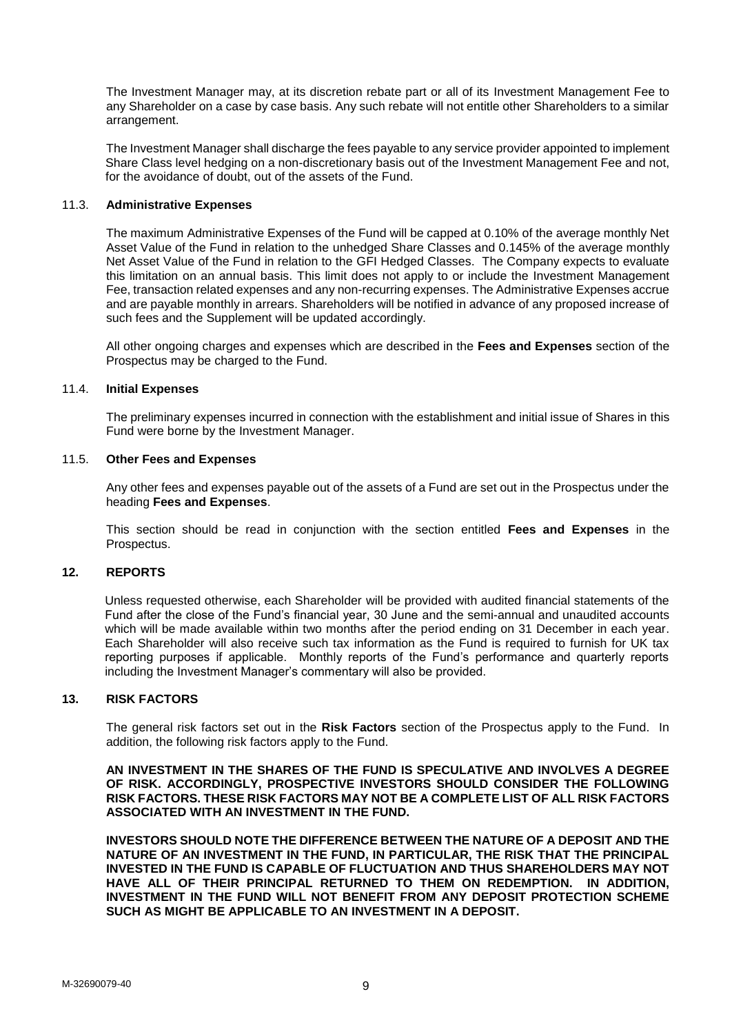The Investment Manager may, at its discretion rebate part or all of its Investment Management Fee to any Shareholder on a case by case basis. Any such rebate will not entitle other Shareholders to a similar arrangement.

The Investment Manager shall discharge the fees payable to any service provider appointed to implement Share Class level hedging on a non-discretionary basis out of the Investment Management Fee and not, for the avoidance of doubt, out of the assets of the Fund.

#### 11.3. **Administrative Expenses**

The maximum Administrative Expenses of the Fund will be capped at 0.10% of the average monthly Net Asset Value of the Fund in relation to the unhedged Share Classes and 0.145% of the average monthly Net Asset Value of the Fund in relation to the GFI Hedged Classes. The Company expects to evaluate this limitation on an annual basis. This limit does not apply to or include the Investment Management Fee, transaction related expenses and any non-recurring expenses. The Administrative Expenses accrue and are payable monthly in arrears. Shareholders will be notified in advance of any proposed increase of such fees and the Supplement will be updated accordingly.

All other ongoing charges and expenses which are described in the **Fees and Expenses** section of the Prospectus may be charged to the Fund.

#### 11.4. **Initial Expenses**

The preliminary expenses incurred in connection with the establishment and initial issue of Shares in this Fund were borne by the Investment Manager.

#### 11.5. **Other Fees and Expenses**

Any other fees and expenses payable out of the assets of a Fund are set out in the Prospectus under the heading **Fees and Expenses**.

This section should be read in conjunction with the section entitled **Fees and Expenses** in the Prospectus.

## **12. REPORTS**

Unless requested otherwise, each Shareholder will be provided with audited financial statements of the Fund after the close of the Fund's financial year, 30 June and the semi-annual and unaudited accounts which will be made available within two months after the period ending on 31 December in each year. Each Shareholder will also receive such tax information as the Fund is required to furnish for UK tax reporting purposes if applicable. Monthly reports of the Fund's performance and quarterly reports including the Investment Manager's commentary will also be provided.

#### **13. RISK FACTORS**

The general risk factors set out in the **Risk Factors** section of the Prospectus apply to the Fund. In addition, the following risk factors apply to the Fund.

**AN INVESTMENT IN THE SHARES OF THE FUND IS SPECULATIVE AND INVOLVES A DEGREE OF RISK. ACCORDINGLY, PROSPECTIVE INVESTORS SHOULD CONSIDER THE FOLLOWING RISK FACTORS. THESE RISK FACTORS MAY NOT BE A COMPLETE LIST OF ALL RISK FACTORS ASSOCIATED WITH AN INVESTMENT IN THE FUND.**

**INVESTORS SHOULD NOTE THE DIFFERENCE BETWEEN THE NATURE OF A DEPOSIT AND THE NATURE OF AN INVESTMENT IN THE FUND, IN PARTICULAR, THE RISK THAT THE PRINCIPAL INVESTED IN THE FUND IS CAPABLE OF FLUCTUATION AND THUS SHAREHOLDERS MAY NOT HAVE ALL OF THEIR PRINCIPAL RETURNED TO THEM ON REDEMPTION. IN ADDITION, INVESTMENT IN THE FUND WILL NOT BENEFIT FROM ANY DEPOSIT PROTECTION SCHEME SUCH AS MIGHT BE APPLICABLE TO AN INVESTMENT IN A DEPOSIT.**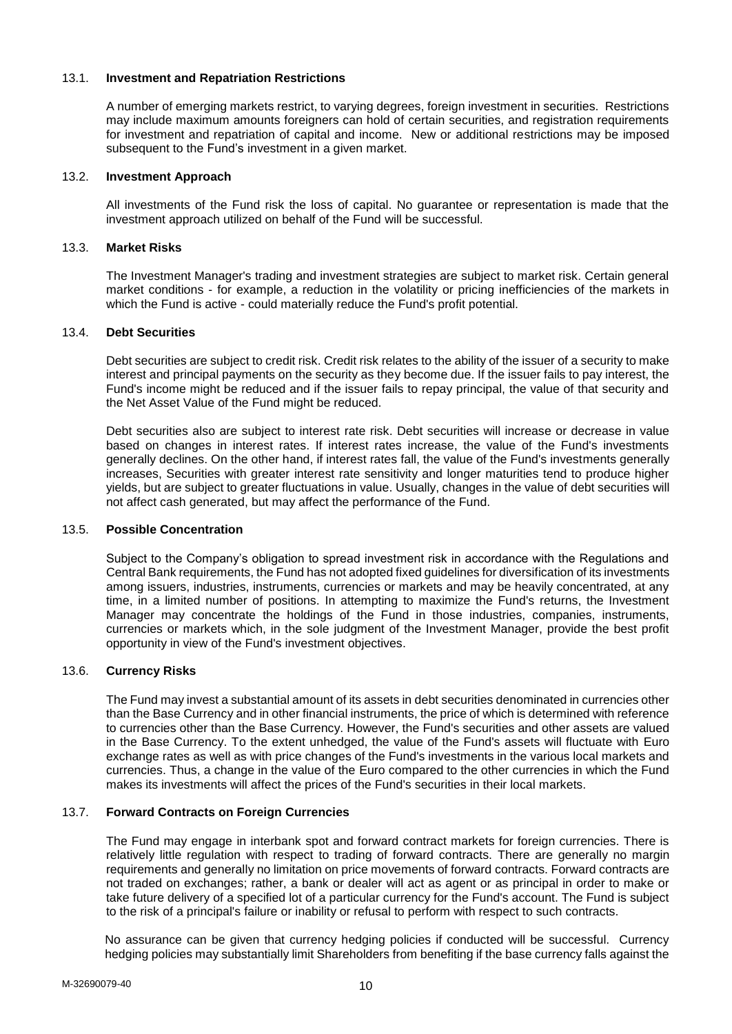## 13.1. **Investment and Repatriation Restrictions**

A number of emerging markets restrict, to varying degrees, foreign investment in securities. Restrictions may include maximum amounts foreigners can hold of certain securities, and registration requirements for investment and repatriation of capital and income. New or additional restrictions may be imposed subsequent to the Fund's investment in a given market.

## 13.2. **Investment Approach**

All investments of the Fund risk the loss of capital. No guarantee or representation is made that the investment approach utilized on behalf of the Fund will be successful.

## 13.3. **Market Risks**

The Investment Manager's trading and investment strategies are subject to market risk. Certain general market conditions - for example, a reduction in the volatility or pricing inefficiencies of the markets in which the Fund is active - could materially reduce the Fund's profit potential.

## 13.4. **Debt Securities**

Debt securities are subject to credit risk. Credit risk relates to the ability of the issuer of a security to make interest and principal payments on the security as they become due. If the issuer fails to pay interest, the Fund's income might be reduced and if the issuer fails to repay principal, the value of that security and the Net Asset Value of the Fund might be reduced.

Debt securities also are subject to interest rate risk. Debt securities will increase or decrease in value based on changes in interest rates. If interest rates increase, the value of the Fund's investments generally declines. On the other hand, if interest rates fall, the value of the Fund's investments generally increases, Securities with greater interest rate sensitivity and longer maturities tend to produce higher yields, but are subject to greater fluctuations in value. Usually, changes in the value of debt securities will not affect cash generated, but may affect the performance of the Fund.

## 13.5. **Possible Concentration**

Subject to the Company's obligation to spread investment risk in accordance with the Regulations and Central Bank requirements, the Fund has not adopted fixed guidelines for diversification of its investments among issuers, industries, instruments, currencies or markets and may be heavily concentrated, at any time, in a limited number of positions. In attempting to maximize the Fund's returns, the Investment Manager may concentrate the holdings of the Fund in those industries, companies, instruments, currencies or markets which, in the sole judgment of the Investment Manager, provide the best profit opportunity in view of the Fund's investment objectives.

### 13.6. **Currency Risks**

The Fund may invest a substantial amount of its assets in debt securities denominated in currencies other than the Base Currency and in other financial instruments, the price of which is determined with reference to currencies other than the Base Currency. However, the Fund's securities and other assets are valued in the Base Currency. To the extent unhedged, the value of the Fund's assets will fluctuate with Euro exchange rates as well as with price changes of the Fund's investments in the various local markets and currencies. Thus, a change in the value of the Euro compared to the other currencies in which the Fund makes its investments will affect the prices of the Fund's securities in their local markets.

## 13.7. **Forward Contracts on Foreign Currencies**

The Fund may engage in interbank spot and forward contract markets for foreign currencies. There is relatively little regulation with respect to trading of forward contracts. There are generally no margin requirements and generally no limitation on price movements of forward contracts. Forward contracts are not traded on exchanges; rather, a bank or dealer will act as agent or as principal in order to make or take future delivery of a specified lot of a particular currency for the Fund's account. The Fund is subject to the risk of a principal's failure or inability or refusal to perform with respect to such contracts.

No assurance can be given that currency hedging policies if conducted will be successful. Currency hedging policies may substantially limit Shareholders from benefiting if the base currency falls against the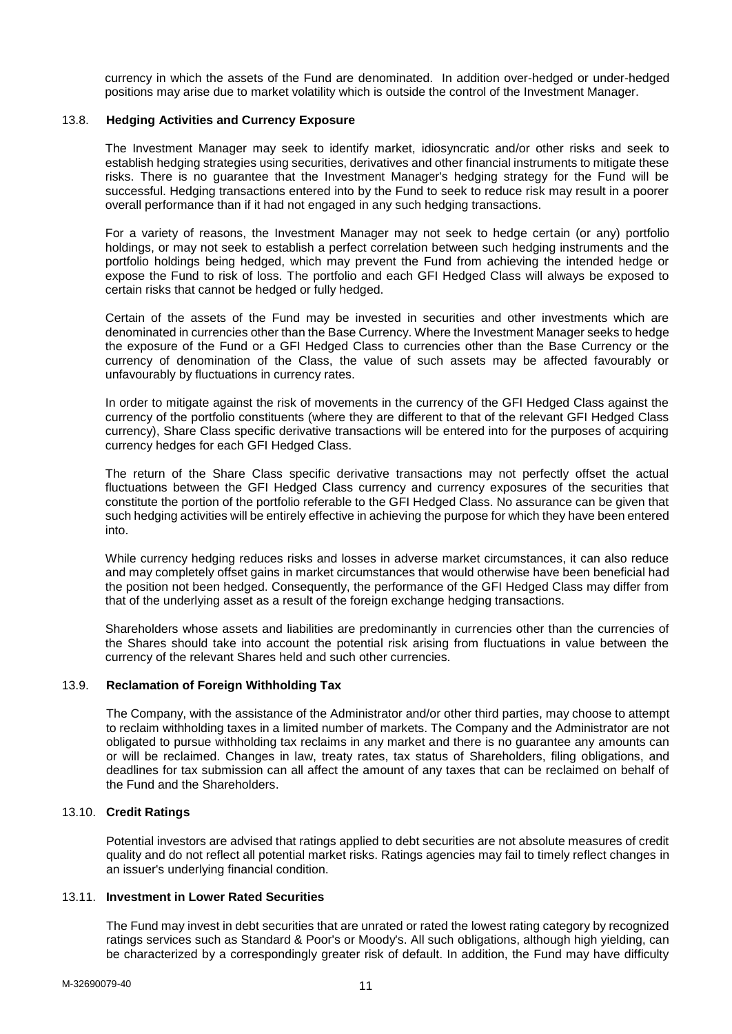currency in which the assets of the Fund are denominated. In addition over-hedged or under-hedged positions may arise due to market volatility which is outside the control of the Investment Manager.

## 13.8. **Hedging Activities and Currency Exposure**

The Investment Manager may seek to identify market, idiosyncratic and/or other risks and seek to establish hedging strategies using securities, derivatives and other financial instruments to mitigate these risks. There is no guarantee that the Investment Manager's hedging strategy for the Fund will be successful. Hedging transactions entered into by the Fund to seek to reduce risk may result in a poorer overall performance than if it had not engaged in any such hedging transactions.

For a variety of reasons, the Investment Manager may not seek to hedge certain (or any) portfolio holdings, or may not seek to establish a perfect correlation between such hedging instruments and the portfolio holdings being hedged, which may prevent the Fund from achieving the intended hedge or expose the Fund to risk of loss. The portfolio and each GFI Hedged Class will always be exposed to certain risks that cannot be hedged or fully hedged.

Certain of the assets of the Fund may be invested in securities and other investments which are denominated in currencies other than the Base Currency. Where the Investment Manager seeks to hedge the exposure of the Fund or a GFI Hedged Class to currencies other than the Base Currency or the currency of denomination of the Class, the value of such assets may be affected favourably or unfavourably by fluctuations in currency rates.

In order to mitigate against the risk of movements in the currency of the GFI Hedged Class against the currency of the portfolio constituents (where they are different to that of the relevant GFI Hedged Class currency), Share Class specific derivative transactions will be entered into for the purposes of acquiring currency hedges for each GFI Hedged Class.

The return of the Share Class specific derivative transactions may not perfectly offset the actual fluctuations between the GFI Hedged Class currency and currency exposures of the securities that constitute the portion of the portfolio referable to the GFI Hedged Class. No assurance can be given that such hedging activities will be entirely effective in achieving the purpose for which they have been entered into.

While currency hedging reduces risks and losses in adverse market circumstances, it can also reduce and may completely offset gains in market circumstances that would otherwise have been beneficial had the position not been hedged. Consequently, the performance of the GFI Hedged Class may differ from that of the underlying asset as a result of the foreign exchange hedging transactions.

Shareholders whose assets and liabilities are predominantly in currencies other than the currencies of the Shares should take into account the potential risk arising from fluctuations in value between the currency of the relevant Shares held and such other currencies.

#### 13.9. **Reclamation of Foreign Withholding Tax**

The Company, with the assistance of the Administrator and/or other third parties, may choose to attempt to reclaim withholding taxes in a limited number of markets. The Company and the Administrator are not obligated to pursue withholding tax reclaims in any market and there is no guarantee any amounts can or will be reclaimed. Changes in law, treaty rates, tax status of Shareholders, filing obligations, and deadlines for tax submission can all affect the amount of any taxes that can be reclaimed on behalf of the Fund and the Shareholders.

### 13.10. **Credit Ratings**

Potential investors are advised that ratings applied to debt securities are not absolute measures of credit quality and do not reflect all potential market risks. Ratings agencies may fail to timely reflect changes in an issuer's underlying financial condition.

#### 13.11. **Investment in Lower Rated Securities**

The Fund may invest in debt securities that are unrated or rated the lowest rating category by recognized ratings services such as Standard & Poor's or Moody's. All such obligations, although high yielding, can be characterized by a correspondingly greater risk of default. In addition, the Fund may have difficulty